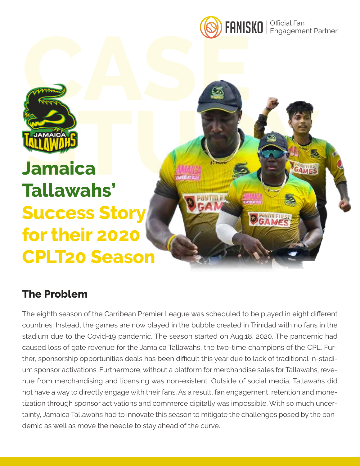

Pastment



# **STRUG AND STRUG AND STRUG AND STRUG AND STRUG AND STRUG AND STRUG AND STRUG AND STRUG AND STRUG AND STRUG AND STRUG AND STRUG AND STRUG AND STRUG AND STRUG AND STRUG AND STRUG AND STRUG AND STRUG AND STRUG AND STRUG AND S Tallawahs' Success Story for their 2020 CPLT20 Season**

## **The Problem**

The eighth season of the Carribean Premier League was scheduled to be played in eight different countries. Instead, the games are now played in the bubble created in Trinidad with no fans in the stadium due to the Covid-19 pandemic. The season started on Aug.18, 2020. The pandemic had caused loss of gate revenue for the Jamaica Tallawahs, the two-time champions of the CPL. Further, sponsorship opportunities deals has been difficult this year due to lack of traditional in-stadium sponsor activations. Furthermore, without a platform for merchandise sales for Tallawahs, revenue from merchandising and licensing was non-existent. Outside of social media, Tallawahs did not have a way to directly engage with their fans. As a result, fan engagement, retention and monetization through sponsor activations and commerce digitally was impossible. With so much uncertainty, Jamaica Tallawahs had to innovate this season to mitigate the challenges posed by the pandemic as well as move the needle to stay ahead of the curve.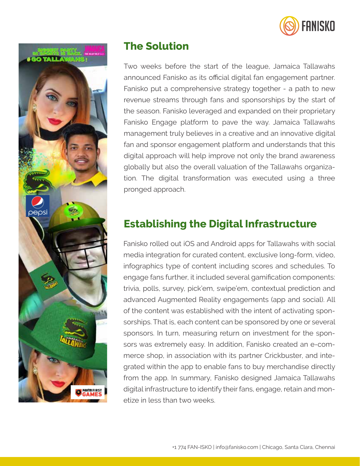



## **The Solution**

Two weeks before the start of the league, Jamaica Tallawahs announced Fanisko as its official digital fan engagement partner. Fanisko put a comprehensive strategy together - a path to new revenue streams through fans and sponsorships by the start of the season. Fanisko leveraged and expanded on their proprietary Fanisko Engage platform to pave the way. Jamaica Tallawahs management truly believes in a creative and an innovative digital fan and sponsor engagement platform and understands that this digital approach will help improve not only the brand awareness globally but also the overall valuation of the Tallawahs organization. The digital transformation was executed using a three pronged approach.

## **Establishing the Digital Infrastructure**

Fanisko rolled out iOS and Android apps for Tallawahs with social media integration for curated content, exclusive long-form, video, infographics type of content including scores and schedules. To engage fans further, it included several gamification components: trivia, polls, survey, pick'em, swipe'em, contextual prediction and advanced Augmented Reality engagements (app and social). All of the content was established with the intent of activating sponsorships. That is, each content can be sponsored by one or several sponsors. In turn, measuring return on investment for the sponsors was extremely easy. In addition, Fanisko created an e-commerce shop, in association with its partner Crickbuster, and integrated within the app to enable fans to buy merchandise directly from the app. In summary, Fanisko designed Jamaica Tallawahs digital infrastructure to identify their fans, engage, retain and monetize in less than two weeks.